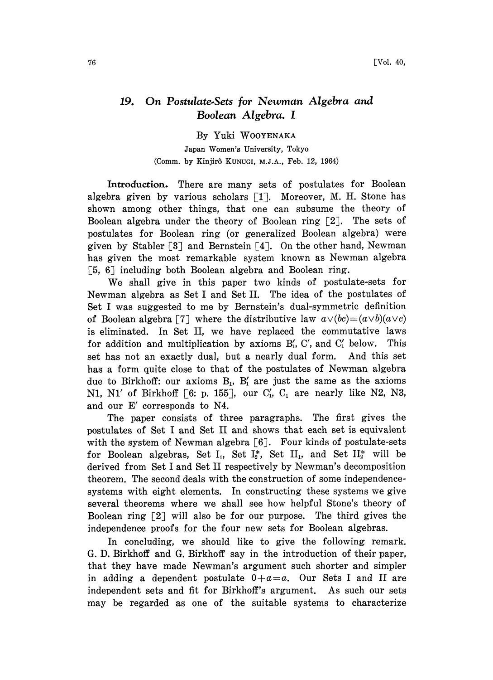## 19. On Postulate.Sets for Newman Algebra and Boolean Algebra. I

By Yuki WOOYENAKA Japan Women's University, Tokyo (Comm. by Kinjir6 KUNUG, M.I.A., Feb. 12, 1964)

Introduction. There are many sets of postulates for Boolean algebra given by various scholars  $\lceil 1 \rceil$ . Moreover, M. H. Stone has shown among other things, that one can subsume the theory of Boolean algebra under the theory of Boolean ring  $\lceil 2 \rceil$ . The sets of postulates for Boolean ring (or generalized Boolean algebra) were given by Stabler  $[3]$  and Bernstein  $[4]$ . On the other hand, Newman has given the most remarkable system known as Newman algebra 5, 6] including both Boolean algebra and Boolean ring.

We shall give in this paper two kinds of postulate-sets for Newman algebra as Set <sup>I</sup> and Set II. The idea of the postulates of Set <sup>I</sup> was suggested to me by Bernstein's dual-symmetric definition of Boolean algebra [7] where the distributive law  $a \vee (bc) = (a \vee b)(a \vee c)$ is eliminated. In Set II, we have replaced the commutative laws for addition and multiplication by axioms  $B'_1$ , C', and  $C'_1$  below. This set has not an exactly dual, but a nearly dual form. And this set has a form quite close to that of the postulates of Newman algebra due to Birkhoff: our axioms  $B_1$ ,  $B'_1$  are just the same as the axioms N1, N1' of Birkhoff [6: p. 155], our  $C'_1$ ,  $C_1$  are nearly like N2, N3, and our E' corresponds to N4.

The paper consists of three paragraphs. The first gives the postulates of Set <sup>I</sup> and Set II and shows that each set is equivalent with the system of Newman algebra  $[6]$ . Four kinds of postulate-sets for Boolean algebras, Set I<sub>1</sub>, Set I<sub>2</sub><sup>\*</sup>, Set II<sub>1</sub>, and Set II<sub>2</sub><sup>\*</sup> will be derived from Set <sup>I</sup> and Set II respectively by Newman's decomposition theorem. The second deals with the construction of some independencesystems with eight elements. In constructing these systems we give several theorems where we shall see how helpful Stone's theory of Boolean ring [2] will also be for our purpose. The third gives the independence proofs for the four new sets for Boolean algebras.

In concluding, we should like to give the following remark. G. D. Birkhoff and G. Birkhoff say in the introduction of their paper, that they have made Newman's argument such shorter and simpler in adding a dependent postulate  $0+a=a$ . Our Sets I and II are independent sets and fit for Birkhoff's argument. As such our sets may be regarded as one of the suitable systems to characterize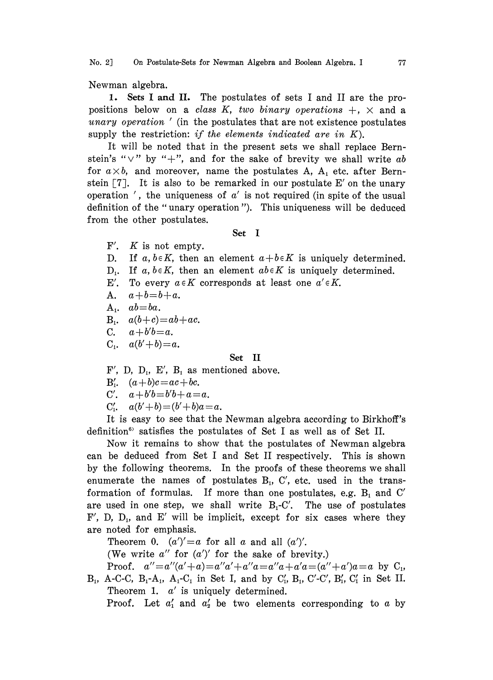No. 2] On Postulate-Sets for Newman Algebra and Boolean Algebra. I 77

Newman algebra.

1. Sets I and II. The postulates of sets <sup>I</sup> and II are the propositions below on a class K, two binary operations  $+$ ,  $\times$  and a unary operation  $\prime$  (in the postulates that are not existence postulates supply the restriction: if the elements indicated are in  $K$ ).

It will be noted that in the present sets we shall replace Bernstein's " $\vee$ " by "+", and for the sake of brevity we shall write ab for  $a \times b$ , and moreover, name the postulates A,  $A_1$  etc. after Bernstein  $\lceil 7 \rceil$ . It is also to be remarked in our postulate E' on the unary operation ', the uniqueness of  $a'$  is not required (in spite of the usual definition of the "unary operation "). This uniqueness will be deduced from the other postulates.

## Set I

- $F'$ .  $K$  is not empty.
- D. If a,  $b \in K$ , then an element  $a+b \in K$  is uniquely determined.
- $D_1$ . If a,  $b \in K$ , then an element  $ab \in K$  is uniquely determined.
- E'. To every  $a \in K$  corresponds at least one  $a' \in K$ .
- A.  $a+b=b+a$ .
- $A_1$ ,  $ab = ba$ .
- $\begin{array}{ll} \text{A.} & a+b=b+a. \ \text{A.} & ab=ba. \ \text{B.} & a(b+c)=ab+ac. \ \text{C.} & a+b'b-a. \end{array}$
- C.  $a+b'b=a$ .
- $C_1$ ,  $a(b'+b)=a$ .

## Set II

F', D, D<sub>1</sub>, E', B<sub>1</sub> as mentioned above.

 $B'_1$ .  $(a+b)c = ac + bc$ .

- C'.  $a+b'b=b'b+a=a$ .
- C'<sub>1</sub>,  $a(b'+b) = (b'+b)a = a$ .

It is easy to see that the Newman algebra according to Birkhoff's definition<sup>6</sup> satisfies the postulates of Set I as well as of Set II.

Now it remains to show that the postulates of Newman algebra can be deduced from Set <sup>I</sup> and Set II respectively. This is shown by the following theorems. In the proofs of these theorems we shall enumerate the names of postulates  $B_1$ ,  $C'$ , etc. used in the transformation of formulas. If more than one postulates, e.g.  $B_1$  and  $C'$ are used in one step, we shall write  $B_1 - C'$ . The use of postulates  $F'$ , D, D<sub>1</sub>, and E' will be implicit, except for six cases where they are noted for emphasis.

Theorem 0.  $(a')' = a$  for all a and all  $(a')'$ .

(We write  $a''$  for  $(a')'$  for the sake of brevity.)

Proof.  $a''=a''(a'+a)=a''a'+a''a=a''a+a'a=(a''+a')a=a$  by C<sub>1</sub>,  $B_1$ , A-C-C,  $B_1$ -A<sub>1</sub>, A<sub>1</sub>-C<sub>1</sub> in Set I, and by C'<sub>1</sub>, B<sub>1</sub>, C'-C', B'<sub>1</sub>, C'<sub>1</sub> in Set II. Theorem 1.  $a'$  is uniquely determined.

Proof. Let  $a'_1$  and  $a'_2$  be two elements corresponding to a by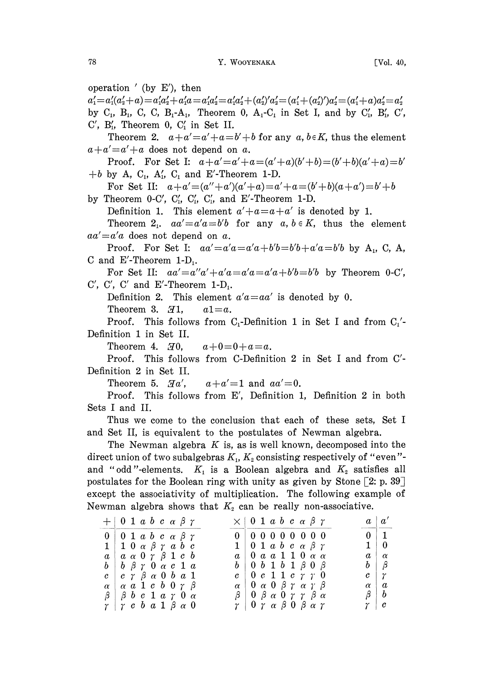operation  $'$  (by E'), then  $+a'_1a = a'_1a'_2 = a'_1a'_2 + (a'_2)'a'_2 = (a'_1 + (a'_2)')a'_2 = (a'_1 + a)a'_2 = a'_2$ <br>  $a'_1 - A_1$ , Theorem 0, A<sub>1</sub>-C<sub>1</sub> in Set I, and by C'<sub>1</sub>, B'<sub>1</sub>, C'<sub>1</sub>, C'<sub>1</sub>, in Set II.  $a'_1 = a'_1(a'_2 + a) = a'_1a'_2 + a'_1a = a'_1a'_2 = a'_1a'_2 + (a'_2)'a'_2 = (a'_1 + (a'_2)')a'_2 = (a'_1 + a)a'_2 = a'_2$ by  $C_1$ ,  $B_1$ ,  $C$ ,  $C$ ,  $B_1$ - $A_1$ , Theorem 0,  $A_1$ - $C_1$  in Set I, and by  $C'_1$ ,  $B'_1$ ,  $C'$ ,  $C'$ ,  $B'_{1}$ , Theorem 0,  $C'_{1}$  in Set II. Theorem 2.  $a+a'=a'+a=b'+b$  for any  $a, b \in K$ , thus the element  $a+a'=a'+a$  does not depend on a. Proof. For Set I:  $a+a'=a'+a=(a'+a)(b'+b)=(b'+b)(a'+a)=b'$ +b by A,  $C_1$ ,  $A'_1$ ,  $C_1$  and E'-Theorem 1-D. For Set II:  $a+a'=(a''+a')(a'+a)=a'+a=(b'+b)(a+a')=b'+b$ by Theorem 0-C',  $C'_1$ ,  $C'_1$ ,  $C'_1$ , and  $E'$ -Theorem 1-D. Definition 1. This element  $a'+a=a+a'$  is denoted by 1. Theorem 2.  $aa' = a'a = b'b$  for any  $a, b \in K$ , thus the element  $aa' = a'a$  does not depend on a. Proof. For Set I:  $aa' = a'a = a'a + b'b = b'b + a'a = b'b$  by A<sub>1</sub>, C, A, C and E'-Theorem  $1-D_1$ . For Set II:  $aa'=a''a'+a'a=a'a=a'+b'b=b'b$  by Theorem 0-C', C', C', C' and E'-Theorem  $1-D_1$ . Definition 2. This element  $a'a = aa'$  is denoted by 0. Theorem 3.  $\mathcal{I}1, a1=a.$ Proof. This follows from  $C_1$ -Definition 1 in Set I and from  $C_1$ '-Definition I in Set II. Theorem 4.  $\mathcal{I}0$ ,  $a+0=0+a=a$ . Proof. This follows from C-Definition 2 in Set <sup>I</sup> and from C'- Definition 2 in Set II. Theorem 5.  $Ha'$ ,  $a+a'=1$  and  $aa'=0$ . Proof. This follows from E', Definition 1, Definition 2 in both Sets I and II. Thus we come to the conclusion that each of these sets, Set <sup>I</sup> and Set II, is equivalent to the postulates of Newman algebra. The Newman algebra  $K$  is, as is well known, decomposed into the direct union of two subalgebras  $K_1, K_2$  consisting respectively of "even"and "odd"-elements.  $K_1$  is a Boolean algebra and  $K_2$  satisfies all postulates for the Boolean ring with unity as given by Stone  $[2: p. 39]$ except the associativity of multiplication. The following example of Newman algebra shows that  $K_2$  can be really non-associative.  $+ 0$  1 a b c  $\alpha$   $\beta$   $\gamma$  $\times$  | 0 1 a b c a  $\beta$   $\gamma$  $a^{\prime}$  $\begin{array}{ccc} 0 & 1 & a & b & c & \alpha & \beta & \gamma \\ 1 & 0 & \alpha & \beta & \gamma & a & b & c \end{array} \qquad \qquad \begin{array}{c} 0 \\ 1 \end{array}$ 00000000 <sup>0</sup>  $\mathbf{1}$  $\mathbf{0}$  $1 0 \alpha \beta \gamma a b c$  $\begin{array}{ccc} 0 & 1 & a & b & c & \alpha & \beta & \gamma \\ 0 & a & a & 1 & 1 & 0 & \alpha & \alpha \end{array} \hspace{1.5cm} \qquad \qquad \begin{array}{c} 1 \\ a \end{array}$  $\mathbf{1}$  $\bf{0}$  $\begin{array}{ccc} 0 & 1 & a & b & c & a & p \\ 0 & a & a & 1 & 1 & 0 & \alpha & \alpha \end{array}$  $\alpha \alpha \alpha \gamma \beta 1 c b$  a  $\alpha$  $\boldsymbol{a}$  $\ddot{b}$   $\beta$   $\gamma$   $0$   $\alpha$   $c$   $1$   $a$   $b$  $\begin{array}{ccccccc}\n0 & b & 1 & b & 1 & \beta & 0 & \beta & b \\
\end{array}$  $\begin{array}{ccccccccc} 0&b&1&b&1&\beta&0&\beta&&&b\ 0&c&1&1&c&\gamma&\gamma&0&&&c\ 0&\alpha&0&\beta&\gamma&\alpha&\gamma&\beta&&&\alpha \end{array}$  $\beta$  $\bm{b}$ 

 $\begin{array}{ccc} 0 \ \alpha \ \ 0 \ \beta \ \alpha \ \ 0 \ \beta \ \alpha \ \ 0 \ \gamma \ \gamma \ \beta \ \alpha \end{array} \qquad \qquad \begin{array}{ccc} \alpha \ \beta \ \alpha \ \beta \end{array}$  $\begin{array}{c|ccccc}\n\beta & 0 & \beta & \alpha & 0 & \gamma & \gamma & \beta & \alpha \\
\gamma & 0 & \gamma & \alpha & \beta & 0 & \beta & \alpha & \gamma\n\end{array} \hspace{1cm} \begin{array}{c}\n\beta \\
\alpha \\
\gamma\n\end{array}$   $\gamma$ 

 $\alpha$ 

 $\boldsymbol{b}$ 

 $\boldsymbol{c}$ 

 $\gamma$  | 0  $\gamma$   $\alpha$   $\beta$  0  $\beta$   $\alpha$   $\gamma$ 

 $\begin{array}{ccccc} c & \gamma & \beta & \alpha & 0 & b & a & 1 \\ \alpha & a & 1 & c & b & 0 & \gamma & \beta & \alpha \end{array}$ 

 $\alpha$  a 1 c b 0  $\gamma$   $\beta$  $\beta$  b c 1 a  $\gamma$  0 a  $\gamma$   $\gamma$  c b a 1  $\beta$  a 0

 $\pmb{c}$ 

 $\alpha$ 

β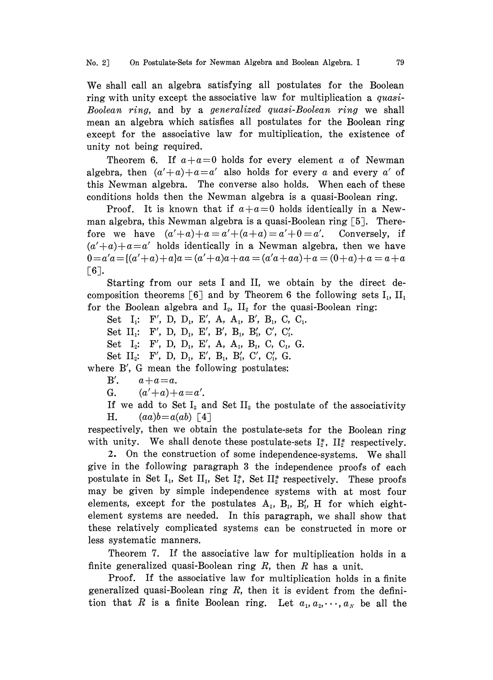We shall call an algebra satisfying all postulates for the Boolean ring with unity except the associative law for multiplication a quasi-Boolean ring, and by a generalized quasi-Boolean ring we shall mean an algebra which satisfies all postulates for the Boolean ring except for the associative law for multiplication, the existence of unity not being required.

Theorem 6. If  $a+a=0$  holds for every element a of Newman algebra, then  $(a'+a)+a=a'$  also holds for every a and every a' of this Newman algebra. The converse also holds. When each of these conditions holds then the Newman algebra is a quasi-Boolean ring.

Proof. It is known that if  $a+a=0$  holds identically in a Newman algebra, this Newman algebra is a quasi-Boolean ring  $\lceil 5 \rceil$ . Therefore we have  $(a'+a)+a=a'+(a+a)=a'+0=a'$ . Conversely, if  $(a'+a)+a=a'$  holds identically in a Newman algebra, then we have  $0 = a'a = (a'+a)+a)a = (a'+a)a + aa = (a'a + aa) + a = (0+a)+a = a + a$  $\lceil 6 \rceil$ .

Starting from our sets <sup>I</sup> and II, we obtain by the direct decomposition theorems [6] and by Theorem 6 the following sets  $I_1$ ,  $II_1$ for the Boolean algebra and  $I_2$ ,  $II_2$  for the quasi-Boolean ring:

Set  $I_1$ : F', D, D<sub>1</sub>, E', A, A<sub>1</sub>, B', B<sub>1</sub>, C, C<sub>1</sub>.

Set  $II_1$ : F', D, D<sub>1</sub>, E', B', B<sub>1</sub>, B', C', C'<sub>1</sub>.

Set  $I_2$ : F', D, D<sub>1</sub>, E', A, A<sub>1</sub>, B<sub>1</sub>, C, C<sub>1</sub>, G.

Set  $II_2$ : F', D, D<sub>1</sub>, E', B<sub>1</sub>, B'<sub>1</sub>, C', C'<sub>1</sub>, G.

where B', G mean the following postulates:

B'.  $a+a=a$ .

G.  $(a'+a)+a=a'$ .

If we add to Set  $I_2$  and Set  $II_2$  the postulate of the associativity H.  $(aa)b=a(ab)$  [4]

respectively, then we obtain the postulate-sets for the Boolean ring with unity. We shall denote these postulate-sets  $I_2^*$ ,  $II_2^*$  respectively.

2. On the construction of some independence-systems. We shall give in the following paragraph 3 the independence proofs of each postulate in Set I<sub>1</sub>, Set II<sub>1</sub>, Set I<sub>2</sub><sup>\*</sup>, Set II<sub>2</sub><sup>\*</sup> respectively. These proofs may be given by simple independence systems with at most four elements, except for the postulates  $A_1$ ,  $B_1$ ,  $B'_1$ ,  $H$  for which eightelement systems are needed. In this paragraph, we shall show that these relatively complicated systems can be constructed in more or less systematic manners.

Theorem 7. If the associative law for multiplication holds in a finite generalized quasi-Boolean ring  $R$ , then  $R$  has a unit.

Proof. If the associative law for multiplication holds in a finite generalized quasi-Boolean ring  $R$ , then it is evident from the definition that R is a finite Boolean ring. Let  $a_1, a_2, \dots, a_N$  be all the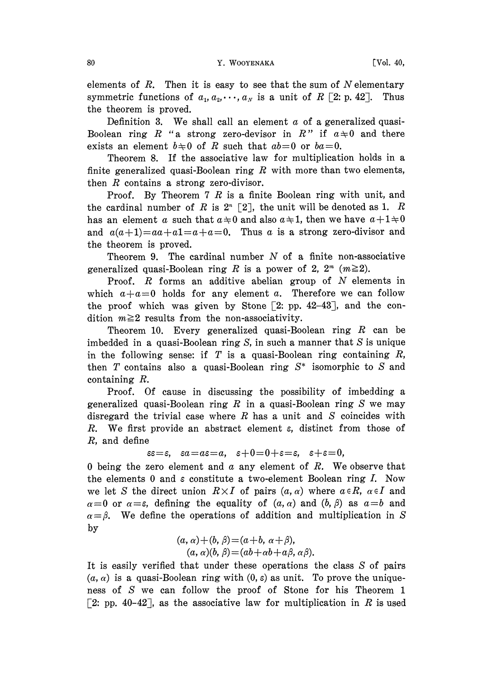elements of  $R$ . Then it is easy to see that the sum of N elementary symmetric functions of  $a_1, a_2, \dots, a_N$  is a unit of R [2: p. 42]. Thus the theorem is proved.

Definition 3. We shall call an element  $\alpha$  of a generalized quasi-Boolean ring R "a strong zero-devisor in R" if  $a \neq 0$  and there exists an element  $b \neq 0$  of R such that  $ab=0$  or  $ba=0$ .

Theorem 8. If the associative law for multiplication holds in a finite generalized quasi-Boolean ring  $R$  with more than two elements, then  $R$  contains a strong zero-divisor.

Proof. By Theorem 7 R is a finite Boolean ring with unit, and the cardinal number of R is  $2^n$  [2], the unit will be denoted as 1. R has an element a such that  $a \neq 0$  and also  $a \neq 1$ , then we have  $a + 1 \neq 0$ and  $a(a+1)=aa+a1=a+a=0$ . Thus a is a strong zero-divisor and the theorem is proved.

Theorem 9. The cardinal number  $N$  of a finite non-associative generalized quasi-Boolean ring R is a power of 2,  $2^m$  ( $m \ge 2$ ).

Proof. R forms an additive abelian group of N elements in which  $a+a=0$  holds for any element a. Therefore we can follow the proof which was given by Stone  $[2: pp. 42-43]$ , and the condition  $m \geq 2$  results from the non-associativity.

Theorem 10. Every generalized quasi-Boolean ring  $R$  can be imbedded in a quasi-Boolean ring S, in such a manner that  $S$  is unique in the following sense: if  $T$  is a quasi-Boolean ring containing  $R$ , then T contains also a quasi-Boolean ring  $S^*$  isomorphic to S and containing R.

Proof. Of cause in discussing the possibility of imbedding a generalized quasi-Boolean ring  $R$  in a quasi-Boolean ring  $S$  we may disregard the trivial case where  $R$  has a unit and  $S$  coincides with R. We first provide an abstract element  $\varepsilon$ , distinct from those of R, and define

 $\epsilon = \epsilon$ ,  $\epsilon a = a\epsilon = a$ ,  $\epsilon + 0 = 0 + \epsilon = \epsilon$ ,  $\epsilon + \epsilon = 0$ ,

0 being the zero element and  $\alpha$  any element of  $R$ . We observe that the elements 0 and  $\varepsilon$  constitute a two-element Boolean ring I. Now we let S the direct union  $R \times I$  of pairs  $(a, \alpha)$  where  $a \in R$ ,  $\alpha \in I$  and  $\alpha=0$  or  $\alpha=\varepsilon$ , defining the equality of  $(a, \alpha)$  and  $(b, \beta)$  as  $a=b$  and  $\alpha = \beta$ . We define the operations of addition and multiplication in S by

$$
(a, \alpha) + (b, \beta) = (a+b, \alpha+\beta),
$$
  
\n
$$
(a, \alpha)(b, \beta) = (ab + \alpha b + a\beta, \alpha\beta).
$$

It is easily verified that under these operations the class S of pairs  $(a, \alpha)$  is a quasi-Boolean ring with  $(0, \varepsilon)$  as unit. To prove the uniqueness of S we can follow the proof of Stone for his Theorem <sup>1</sup> [2: pp. 40-42], as the associative law for multiplication in R is used